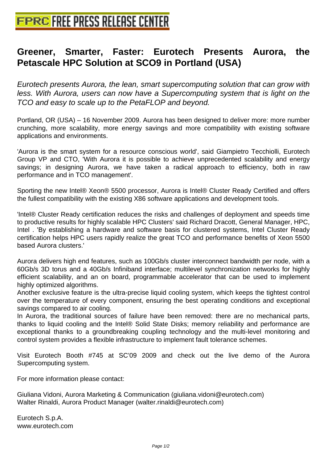## **[Greener, Smarter, Faster: Eur](http://www.free-press-release-center.info)otech Presents Aurora, the Petascale HPC Solution at SCO9 in Portland (USA)**

Eurotech presents Aurora, the lean, smart supercomputing solution that can grow with less. With Aurora, users can now have a Supercomputing system that is light on the TCO and easy to scale up to the PetaFLOP and beyond.

Portland, OR (USA) – 16 November 2009. Aurora has been designed to deliver more: more number crunching, more scalability, more energy savings and more compatibility with existing software applications and environments.

'Aurora is the smart system for a resource conscious world', said Giampietro Tecchiolli, Eurotech Group VP and CTO, 'With Aurora it is possible to achieve unprecedented scalability and energy savings; in designing Aurora, we have taken a radical approach to efficiency, both in raw performance and in TCO management'.

Sporting the new Intel® Xeon® 5500 processor, Aurora is Intel® Cluster Ready Certified and offers the fullest compatibility with the existing X86 software applications and development tools.

'Intel® Cluster Ready certification reduces the risks and challenges of deployment and speeds time to productive results for highly scalable HPC Clusters' said Richard Dracott, General Manager, HPC, Intel . 'By establishing a hardware and software basis for clustered systems, Intel Cluster Ready certification helps HPC users rapidly realize the great TCO and performance benefits of Xeon 5500 based Aurora clusters.'

Aurora delivers high end features, such as 100Gb/s cluster interconnect bandwidth per node, with a 60Gb/s 3D torus and a 40Gb/s Infiniband interface; multilevel synchronization networks for highly efficient scalability, and an on board, programmable accelerator that can be used to implement highly optimized algorithms.

Another exclusive feature is the ultra-precise liquid cooling system, which keeps the tightest control over the temperature of every component, ensuring the best operating conditions and exceptional savings compared to air cooling.

In Aurora, the traditional sources of failure have been removed: there are no mechanical parts, thanks to liquid cooling and the Intel® Solid State Disks; memory reliability and performance are exceptional thanks to a groundbreaking coupling technology and the multi-level monitoring and control system provides a flexible infrastructure to implement fault tolerance schemes.

Visit Eurotech Booth #745 at SC'09 2009 and check out the live demo of the Aurora Supercomputing system.

For more information please contact:

Giuliana Vidoni, Aurora Marketing & Communication (giuliana.vidoni@eurotech.com) Walter Rinaldi, Aurora Product Manager (walter.rinaldi@eurotech.com)

Eurotech S.p.A. www.eurotech.com